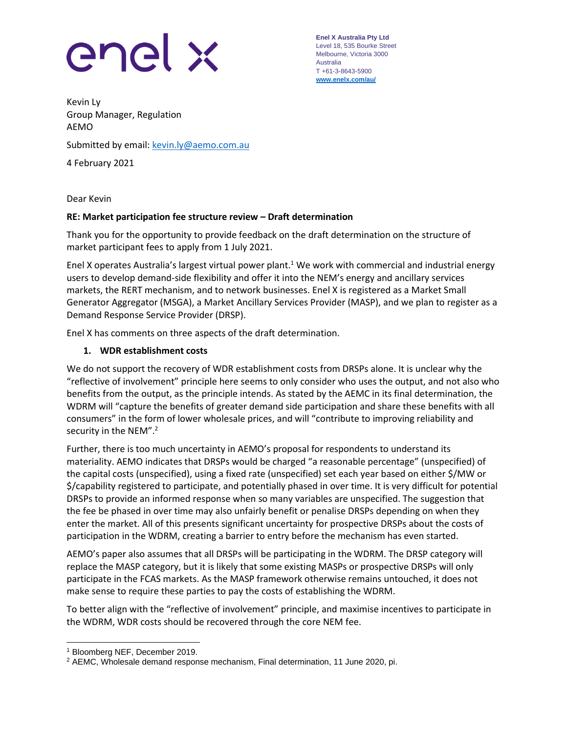# enel x

**Enel X Australia Pty Ltd** Level 18, 535 Bourke Street Melbourne, Victoria 3000 Australia T +61-3-8643-5900 **[www.enelx.com/a](http://www.enelx.com/)u/**

Kevin Ly Group Manager, Regulation AEMO

Submitted by email: [kevin.ly@aemo.com.au](mailto:kevin.ly@aemo.com.au)

4 February 2021

Dear Kevin

### **RE: Market participation fee structure review – Draft determination**

Thank you for the opportunity to provide feedback on the draft determination on the structure of market participant fees to apply from 1 July 2021.

Enel X operates Australia's largest virtual power plant.<sup>1</sup> We work with commercial and industrial energy users to develop demand-side flexibility and offer it into the NEM's energy and ancillary services markets, the RERT mechanism, and to network businesses. Enel X is registered as a Market Small Generator Aggregator (MSGA), a Market Ancillary Services Provider (MASP), and we plan to register as a Demand Response Service Provider (DRSP).

Enel X has comments on three aspects of the draft determination.

### **1. WDR establishment costs**

We do not support the recovery of WDR establishment costs from DRSPs alone. It is unclear why the "reflective of involvement" principle here seems to only consider who uses the output, and not also who benefits from the output, as the principle intends. As stated by the AEMC in its final determination, the WDRM will "capture the benefits of greater demand side participation and share these benefits with all consumers" in the form of lower wholesale prices, and will "contribute to improving reliability and security in the NEM".<sup>2</sup>

Further, there is too much uncertainty in AEMO's proposal for respondents to understand its materiality. AEMO indicates that DRSPs would be charged "a reasonable percentage" (unspecified) of the capital costs (unspecified), using a fixed rate (unspecified) set each year based on either \$/MW or \$/capability registered to participate, and potentially phased in over time. It is very difficult for potential DRSPs to provide an informed response when so many variables are unspecified. The suggestion that the fee be phased in over time may also unfairly benefit or penalise DRSPs depending on when they enter the market. All of this presents significant uncertainty for prospective DRSPs about the costs of participation in the WDRM, creating a barrier to entry before the mechanism has even started.

AEMO's paper also assumes that all DRSPs will be participating in the WDRM. The DRSP category will replace the MASP category, but it is likely that some existing MASPs or prospective DRSPs will only participate in the FCAS markets. As the MASP framework otherwise remains untouched, it does not make sense to require these parties to pay the costs of establishing the WDRM.

To better align with the "reflective of involvement" principle, and maximise incentives to participate in the WDRM, WDR costs should be recovered through the core NEM fee.

<sup>1</sup> Bloomberg NEF, December 2019.

<sup>2</sup> AEMC, Wholesale demand response mechanism, Final determination, 11 June 2020, pi.